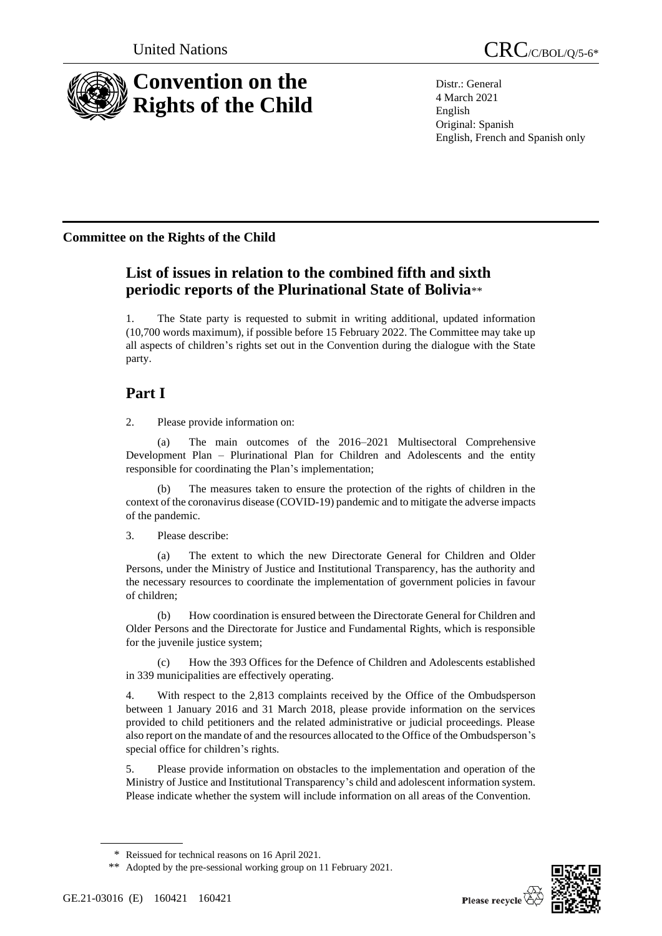

Distr.: General 4 March 2021 English Original: Spanish English, French and Spanish only

## **Committee on the Rights of the Child**

# **List of issues in relation to the combined fifth and sixth periodic reports of the Plurinational State of Bolivia**\*\*

1. The State party is requested to submit in writing additional, updated information (10,700 words maximum), if possible before 15 February 2022. The Committee may take up all aspects of children's rights set out in the Convention during the dialogue with the State party.

# **Part I**

2. Please provide information on:

The main outcomes of the 2016–2021 Multisectoral Comprehensive Development Plan – Plurinational Plan for Children and Adolescents and the entity responsible for coordinating the Plan's implementation;

(b) The measures taken to ensure the protection of the rights of children in the context of the coronavirus disease (COVID-19) pandemic and to mitigate the adverse impacts of the pandemic.

3. Please describe:

(a) The extent to which the new Directorate General for Children and Older Persons, under the Ministry of Justice and Institutional Transparency, has the authority and the necessary resources to coordinate the implementation of government policies in favour of children;

(b) How coordination is ensured between the Directorate General for Children and Older Persons and the Directorate for Justice and Fundamental Rights, which is responsible for the juvenile justice system;

(c) How the 393 Offices for the Defence of Children and Adolescents established in 339 municipalities are effectively operating.

4. With respect to the 2,813 complaints received by the Office of the Ombudsperson between 1 January 2016 and 31 March 2018, please provide information on the services provided to child petitioners and the related administrative or judicial proceedings. Please also report on the mandate of and the resources allocated to the Office of the Ombudsperson's special office for children's rights.

5. Please provide information on obstacles to the implementation and operation of the Ministry of Justice and Institutional Transparency's child and adolescent information system. Please indicate whether the system will include information on all areas of the Convention.



<sup>\*</sup> Reissued for technical reasons on 16 April 2021.

<sup>\*\*</sup> Adopted by the pre-sessional working group on 11 February 2021.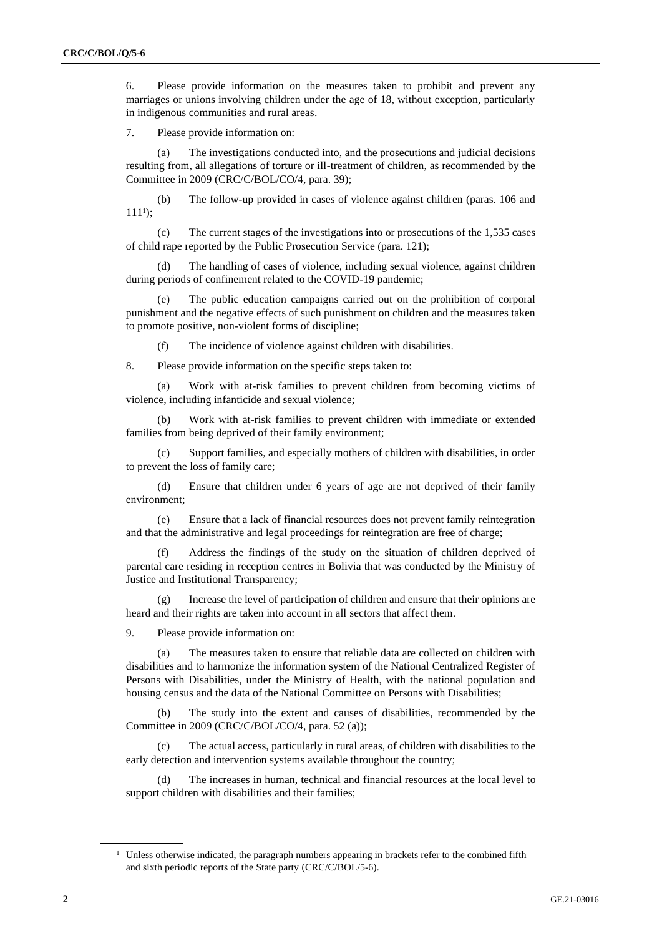6. Please provide information on the measures taken to prohibit and prevent any marriages or unions involving children under the age of 18, without exception, particularly in indigenous communities and rural areas.

7. Please provide information on:

(a) The investigations conducted into, and the prosecutions and judicial decisions resulting from, all allegations of torture or ill-treatment of children, as recommended by the Committee in 2009 (CRC/C/BOL/CO/4, para. 39);

(b) The follow-up provided in cases of violence against children (paras. 106 and  $111$ <sup>1</sup>);

(c) The current stages of the investigations into or prosecutions of the 1,535 cases of child rape reported by the Public Prosecution Service (para. 121);

(d) The handling of cases of violence, including sexual violence, against children during periods of confinement related to the COVID-19 pandemic;

(e) The public education campaigns carried out on the prohibition of corporal punishment and the negative effects of such punishment on children and the measures taken to promote positive, non-violent forms of discipline;

(f) The incidence of violence against children with disabilities.

8. Please provide information on the specific steps taken to:

(a) Work with at-risk families to prevent children from becoming victims of violence, including infanticide and sexual violence;

(b) Work with at-risk families to prevent children with immediate or extended families from being deprived of their family environment;

(c) Support families, and especially mothers of children with disabilities, in order to prevent the loss of family care;

(d) Ensure that children under 6 years of age are not deprived of their family environment;

(e) Ensure that a lack of financial resources does not prevent family reintegration and that the administrative and legal proceedings for reintegration are free of charge;

(f) Address the findings of the study on the situation of children deprived of parental care residing in reception centres in Bolivia that was conducted by the Ministry of Justice and Institutional Transparency;

(g) Increase the level of participation of children and ensure that their opinions are heard and their rights are taken into account in all sectors that affect them.

9. Please provide information on:

(a) The measures taken to ensure that reliable data are collected on children with disabilities and to harmonize the information system of the National Centralized Register of Persons with Disabilities, under the Ministry of Health, with the national population and housing census and the data of the National Committee on Persons with Disabilities;

(b) The study into the extent and causes of disabilities, recommended by the Committee in 2009 (CRC/C/BOL/CO/4, para. 52 (a));

The actual access, particularly in rural areas, of children with disabilities to the early detection and intervention systems available throughout the country;

(d) The increases in human, technical and financial resources at the local level to support children with disabilities and their families;

<sup>&</sup>lt;sup>1</sup> Unless otherwise indicated, the paragraph numbers appearing in brackets refer to the combined fifth and sixth periodic reports of the State party (CRC/C/BOL/5-6).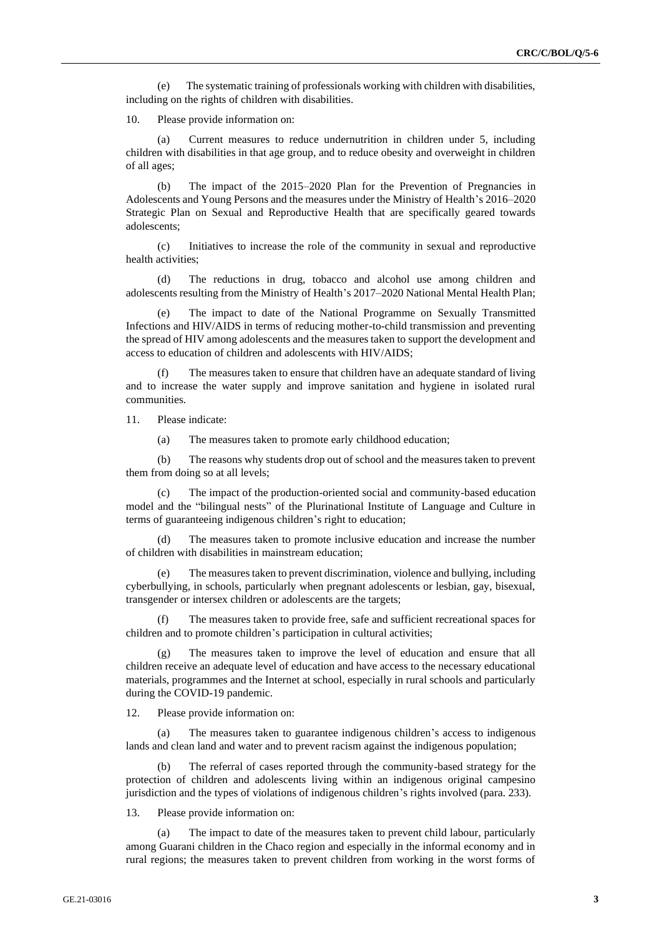(e) The systematic training of professionals working with children with disabilities, including on the rights of children with disabilities.

10. Please provide information on:

(a) Current measures to reduce undernutrition in children under 5, including children with disabilities in that age group, and to reduce obesity and overweight in children of all ages;

(b) The impact of the 2015–2020 Plan for the Prevention of Pregnancies in Adolescents and Young Persons and the measures under the Ministry of Health's 2016–2020 Strategic Plan on Sexual and Reproductive Health that are specifically geared towards adolescents;

(c) Initiatives to increase the role of the community in sexual and reproductive health activities;

(d) The reductions in drug, tobacco and alcohol use among children and adolescents resulting from the Ministry of Health's 2017–2020 National Mental Health Plan;

(e) The impact to date of the National Programme on Sexually Transmitted Infections and HIV/AIDS in terms of reducing mother-to-child transmission and preventing the spread of HIV among adolescents and the measures taken to support the development and access to education of children and adolescents with HIV/AIDS;

The measures taken to ensure that children have an adequate standard of living and to increase the water supply and improve sanitation and hygiene in isolated rural communities.

11. Please indicate:

(a) The measures taken to promote early childhood education;

(b) The reasons why students drop out of school and the measures taken to prevent them from doing so at all levels;

(c) The impact of the production-oriented social and community-based education model and the "bilingual nests" of the Plurinational Institute of Language and Culture in terms of guaranteeing indigenous children's right to education;

The measures taken to promote inclusive education and increase the number of children with disabilities in mainstream education;

(e) The measures taken to prevent discrimination, violence and bullying, including cyberbullying, in schools, particularly when pregnant adolescents or lesbian, gay, bisexual, transgender or intersex children or adolescents are the targets;

(f) The measures taken to provide free, safe and sufficient recreational spaces for children and to promote children's participation in cultural activities;

(g) The measures taken to improve the level of education and ensure that all children receive an adequate level of education and have access to the necessary educational materials, programmes and the Internet at school, especially in rural schools and particularly during the COVID-19 pandemic.

12. Please provide information on:

(a) The measures taken to guarantee indigenous children's access to indigenous lands and clean land and water and to prevent racism against the indigenous population;

The referral of cases reported through the community-based strategy for the protection of children and adolescents living within an indigenous original campesino jurisdiction and the types of violations of indigenous children's rights involved (para. 233).

13. Please provide information on:

(a) The impact to date of the measures taken to prevent child labour, particularly among Guarani children in the Chaco region and especially in the informal economy and in rural regions; the measures taken to prevent children from working in the worst forms of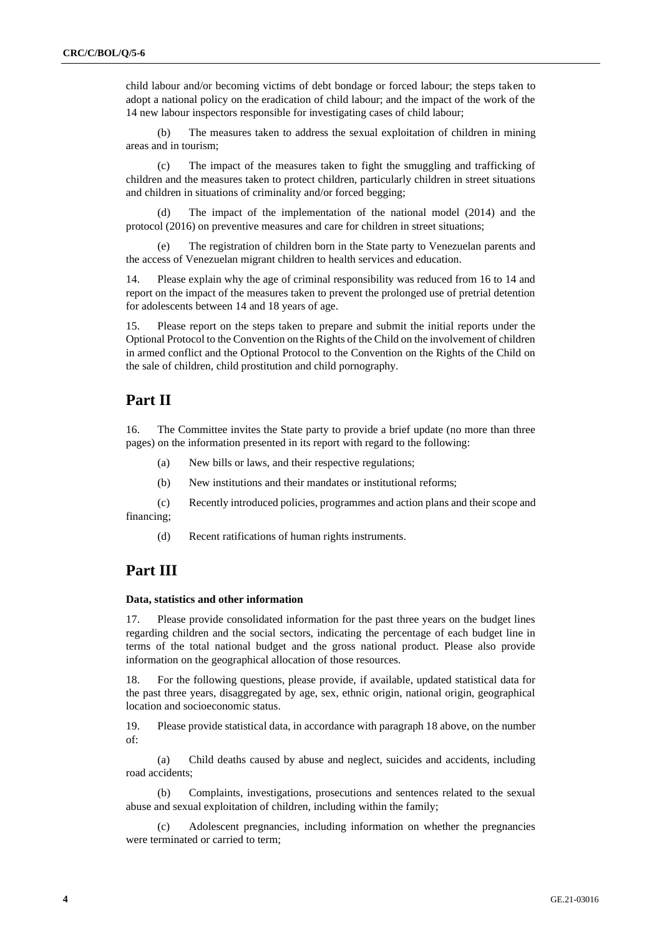child labour and/or becoming victims of debt bondage or forced labour; the steps taken to adopt a national policy on the eradication of child labour; and the impact of the work of the 14 new labour inspectors responsible for investigating cases of child labour;

(b) The measures taken to address the sexual exploitation of children in mining areas and in tourism;

(c) The impact of the measures taken to fight the smuggling and trafficking of children and the measures taken to protect children, particularly children in street situations and children in situations of criminality and/or forced begging;

(d) The impact of the implementation of the national model (2014) and the protocol (2016) on preventive measures and care for children in street situations;

The registration of children born in the State party to Venezuelan parents and the access of Venezuelan migrant children to health services and education.

14. Please explain why the age of criminal responsibility was reduced from 16 to 14 and report on the impact of the measures taken to prevent the prolonged use of pretrial detention for adolescents between 14 and 18 years of age.

15. Please report on the steps taken to prepare and submit the initial reports under the Optional Protocol to the Convention on the Rights of the Child on the involvement of children in armed conflict and the Optional Protocol to the Convention on the Rights of the Child on the sale of children, child prostitution and child pornography.

### **Part II**

16. The Committee invites the State party to provide a brief update (no more than three pages) on the information presented in its report with regard to the following:

- (a) New bills or laws, and their respective regulations;
- (b) New institutions and their mandates or institutional reforms;
- (c) Recently introduced policies, programmes and action plans and their scope and financing;
	- (d) Recent ratifications of human rights instruments.

## **Part III**

#### **Data, statistics and other information**

17. Please provide consolidated information for the past three years on the budget lines regarding children and the social sectors, indicating the percentage of each budget line in terms of the total national budget and the gross national product. Please also provide information on the geographical allocation of those resources.

18. For the following questions, please provide, if available, updated statistical data for the past three years, disaggregated by age, sex, ethnic origin, national origin, geographical location and socioeconomic status.

19. Please provide statistical data, in accordance with paragraph 18 above, on the number of:

(a) Child deaths caused by abuse and neglect, suicides and accidents, including road accidents;

(b) Complaints, investigations, prosecutions and sentences related to the sexual abuse and sexual exploitation of children, including within the family;

(c) Adolescent pregnancies, including information on whether the pregnancies were terminated or carried to term;